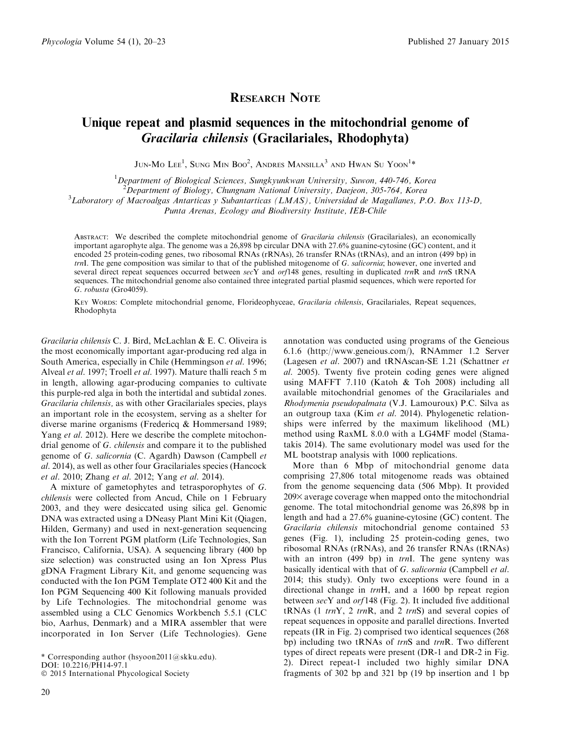## RESEARCH NOTE

## Unique repeat and plasmid sequences in the mitochondrial genome of Gracilaria chilensis (Gracilariales, Rhodophyta)

 $\rm JUN\text{-}Mo\, \, Lee^1, \, SunG\, \, Min\, \, Boo^2, \, ANDRES\, \, MansILLA^3 \, \, AND\, \, HWAN\, \, Su\, \, You^1*$ 

<sup>1</sup>Department of Biological Sciences, Sungkyunkwan University, Suwon, 440-746, Korea

<sup>2</sup> Department of Biology, Chungnam National University, Daejeon, 305-764, Korea<sup>3</sup> Laboratory of Magnalage, Artertiacs v Subontartiacs (LMAS), Universided de Magallanes, P

 ${}^{3}$ Laboratory of Macroalgas Antarticas y Subantarticas (LMAS), Universidad de Magallanes, P.O. Box 113-D,

Punta Arenas, Ecology and Biodiversity Institute, IEB-Chile

ABSTRACT: We described the complete mitochondrial genome of *Gracilaria chilensis* (Gracilariales), an economically important agarophyte alga. The genome was a 26,898 bp circular DNA with 27.6% guanine-cytosine (GC) content, and it encoded 25 protein-coding genes, two ribosomal RNAs (rRNAs), 26 transfer RNAs (tRNAs), and an intron (499 bp) in trnI. The gene composition was similar to that of the published mitogenome of G. salicornia; however, one inverted and several direct repeat sequences occurred between secY and orf148 genes, resulting in duplicated trnR and trnS tRNA sequences. The mitochondrial genome also contained three integrated partial plasmid sequences, which were reported for G. robusta (Gro4059).

KEY WORDS: Complete mitochondrial genome, Florideophyceae, Gracilaria chilensis, Gracilariales, Repeat sequences, Rhodophyta

Gracilaria chilensis C. J. Bird, McLachlan & E. C. Oliveira is the most economically important agar-producing red alga in South America, especially in Chile (Hemmingson *et al.* 1996; Alveal et al. 1997; Troell et al. 1997). Mature thalli reach 5 m in length, allowing agar-producing companies to cultivate this purple-red alga in both the intertidal and subtidal zones. Gracilaria chilensis, as with other Gracilariales species, plays an important role in the ecosystem, serving as a shelter for diverse marine organisms (Fredericq & Hommersand 1989; Yang et al. 2012). Here we describe the complete mitochondrial genome of G. chilensis and compare it to the published genome of G. salicornia (C. Agardh) Dawson (Campbell et al. 2014), as well as other four Gracilariales species (Hancock et al. 2010; Zhang et al. 2012; Yang et al. 2014).

A mixture of gametophytes and tetrasporophytes of G. chilensis were collected from Ancud, Chile on 1 February 2003, and they were desiccated using silica gel. Genomic DNA was extracted using a DNeasy Plant Mini Kit (Qiagen, Hilden, Germany) and used in next-generation sequencing with the Ion Torrent PGM platform (Life Technologies, San Francisco, California, USA). A sequencing library (400 bp size selection) was constructed using an Ion Xpress Plus gDNA Fragment Library Kit, and genome sequencing was conducted with the Ion PGM Template OT2 400 Kit and the Ion PGM Sequencing 400 Kit following manuals provided by Life Technologies. The mitochondrial genome was assembled using a CLC Genomics Workbench 5.5.1 (CLC bio, Aarhus, Denmark) and a MIRA assembler that were incorporated in Ion Server (Life Technologies). Gene

\* Corresponding author (hsyoon2011@skku.edu). DOI: 10.2216/PH14-97.1

 $©$  2015 International Phycological Society

annotation was conducted using programs of the Geneious 6.1.6 (http://www.geneious.com/), RNAmmer 1.2 Server (Lagesen et al. 2007) and tRNAscan-SE 1.21 (Schattner et al. 2005). Twenty five protein coding genes were aligned using MAFFT 7.110 (Katoh & Toh 2008) including all available mitochondrial genomes of the Gracilariales and Rhodymenia pseudopalmata (V.J. Lamouroux) P.C. Silva as an outgroup taxa (Kim et al. 2014). Phylogenetic relationships were inferred by the maximum likelihood (ML) method using RaxML 8.0.0 with a LG4MF model (Stamatakis 2014). The same evolutionary model was used for the ML bootstrap analysis with 1000 replications.

More than 6 Mbp of mitochondrial genome data comprising 27,806 total mitogenome reads was obtained from the genome sequencing data (506 Mbp). It provided  $209\times$  average coverage when mapped onto the mitochondrial genome. The total mitochondrial genome was 26,898 bp in length and had a 27.6% guanine-cytosine (GC) content. The Gracilaria chilensis mitochondrial genome contained 53 genes (Fig. 1), including 25 protein-coding genes, two ribosomal RNAs (rRNAs), and 26 transfer RNAs (tRNAs) with an intron (499 bp) in trnI. The gene synteny was basically identical with that of G. salicornia (Campbell et al. 2014; this study). Only two exceptions were found in a directional change in trnH, and a 1600 bp repeat region between  $secY$  and  $orf148$  (Fig. 2). It included five additional tRNAs  $(1 \; trnY, \; 2 \; trnR, \; \text{and} \; 2 \; trnS)$  and several copies of repeat sequences in opposite and parallel directions. Inverted repeats (IR in Fig. 2) comprised two identical sequences (268 bp) including two tRNAs of *trnS* and *trnR*. Two different types of direct repeats were present (DR-1 and DR-2 in Fig. 2). Direct repeat-1 included two highly similar DNA fragments of 302 bp and 321 bp (19 bp insertion and 1 bp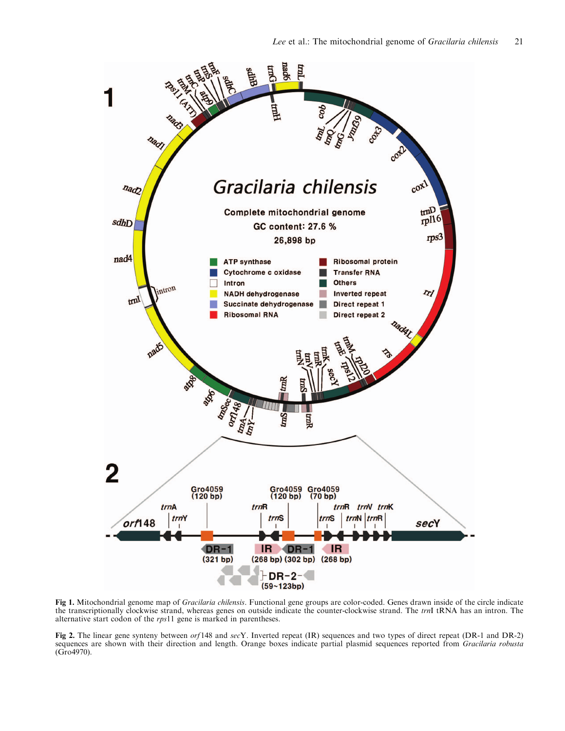

Fig 1. Mitochondrial genome map of Gracilaria chilensis. Functional gene groups are color-coded. Genes drawn inside of the circle indicate the transcriptionally clockwise strand, whereas genes on outside indicate the counter-clockwise strand. The trnI tRNA has an intron. The alternative start codon of the rps11 gene is marked in parentheses.

Fig 2. The linear gene synteny between orf148 and secY. Inverted repeat (IR) sequences and two types of direct repeat (DR-1 and DR-2) sequences are shown with their direction and length. Orange boxes indicate partial plasmid sequences reported from Gracilaria robusta (Gro4970).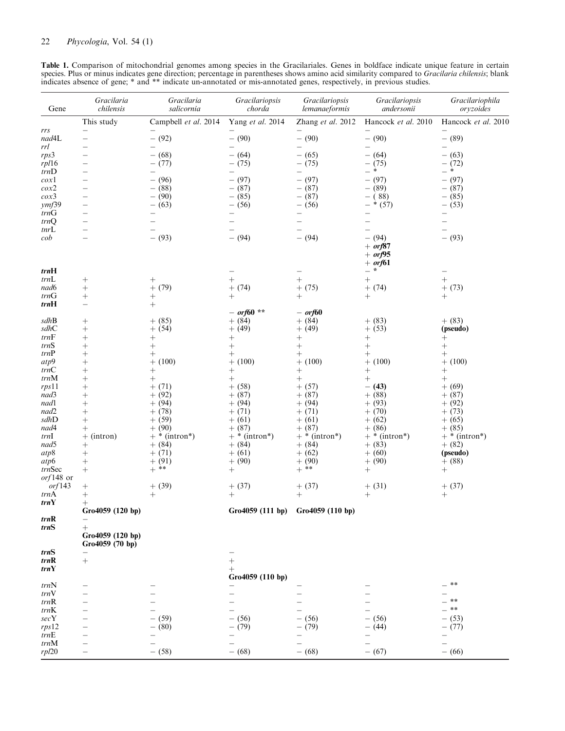| Table 1. Comparison of mitochondrial genomes among species in the Gracilariales. Genes in boldface indicate unique feature in certain                  |
|--------------------------------------------------------------------------------------------------------------------------------------------------------|
| species. Plus or minus indicates gene direction; percentage in parentheses shows amino acid similarity compared to <i>Gracilaria chilensis</i> ; blank |
| indicates absence of gene; * and ** indicate un-annotated or mis-annotated genes, respectively, in previous studies.                                   |
|                                                                                                                                                        |

| Gene                     | Gracilaria<br>chilensis                              | Gracilaria<br>salicornia       | Gracilariopsis<br>chorda | Gracilariopsis<br>lemanaeformis      | Gracilariopsis<br>andersonii          | Gracilariophila<br>oryzoides                         |
|--------------------------|------------------------------------------------------|--------------------------------|--------------------------|--------------------------------------|---------------------------------------|------------------------------------------------------|
|                          | This study                                           | Campbell et al. 2014           | Yang et al. 2014         | Zhang et al. 2012                    | Hancock et al. 2010                   | Hancock et al. 2010                                  |
| rrs<br>nad4L             | $\overline{\phantom{0}}$<br>$\overline{\phantom{0}}$ | $-$ (92)                       | $-$ (90)                 | $-$ (90)                             | $-$ (90)                              | $-$ (89)                                             |
| rrl                      | $\overline{\phantom{0}}$                             |                                | —                        | $\overline{\phantom{0}}$             | $\qquad \qquad -$                     | $\qquad \qquad -$                                    |
| rps3                     | $\overline{\phantom{0}}$                             | $- (68)$                       | $- (64)$                 | $-$ (65)                             | $- (64)$                              | $- (63)$                                             |
| rp/16                    | $\overline{\phantom{0}}$                             | $- (77)$                       | $- (75)$                 | $- (75)$                             | $- (75)$<br>$\ast$                    | $- (72)$<br>— *                                      |
| trnD<br>$\cos 1$         | $\overline{\phantom{0}}$<br>$\qquad \qquad -$        | —<br>$- (96)$                  | -<br>$- (97)$            | $\overline{\phantom{0}}$<br>$-$ (97) | $\overline{\phantom{0}}$<br>$- (97)$  | $-$ (97)                                             |
| $\cos\!2$                | $\overline{\phantom{0}}$                             | $-$ (88)                       | $-$ (87)                 | $-$ (87)                             | $-$ (89)                              | $-$ (87)                                             |
| $\cos 3$                 | $\qquad \qquad -$                                    | $-$ (90)                       | $-$ (85)                 | $-$ (87)                             | $- (88)$                              | $-$ (85)                                             |
| ymf39                    | $\overline{\phantom{0}}$                             | $- (63)$                       | $- (56)$                 | $- (56)$                             | $-*(57)$                              | $- (53)$                                             |
| trnG<br>trnQ             | $\overline{\phantom{0}}$<br>$\overline{\phantom{0}}$ |                                |                          | $\overline{\phantom{0}}$             | $\overline{\phantom{0}}$              | $\overline{\phantom{0}}$<br>$\overline{\phantom{0}}$ |
| tnrL                     | $\overline{\phantom{0}}$                             | —                              |                          | $\overline{\phantom{0}}$             |                                       | $\overline{\phantom{0}}$                             |
| cob                      | $\overline{\phantom{0}}$                             | $-$ (93)                       | $- (94)$                 | $- (94)$                             | $- (94)$<br>$+$ or $67$<br>$+$ or f95 | $- (93)$                                             |
|                          |                                                      |                                |                          |                                      | $+$ or f61                            |                                                      |
| trnH                     |                                                      |                                |                          |                                      | $-$ *                                 |                                                      |
| trnL<br>nad6             | $^{+}$<br>$\! + \!$                                  | $\hspace{0.1mm} +$<br>$+$ (79) | $^{+}$<br>$+ (74)$       | $^{+}$<br>$+$ (75)                   | $\! + \!$<br>$+ (74)$                 | $\! +$<br>$+ (73)$                                   |
| trnG                     |                                                      | $\hspace{0.1mm} +$             | $^{+}$                   | $^{+}$                               | $^{+}$                                | $^{+}$                                               |
| trnH                     | $\qquad \qquad -$                                    | $+$                            |                          |                                      |                                       |                                                      |
|                          |                                                      |                                | $- or f60$ **            | $-$ or f60                           |                                       |                                                      |
| sdhB<br>sdhC             | $^{+}$                                               | $+$ (85)                       | $+ (84)$                 | $+ (84)$                             | $+$ (83)                              | $+$ (83)<br>(pseudo)                                 |
| trnF                     | $^{+}$<br>$\! + \!$                                  | $+ (54)$<br>$^{+}$             | $+$ (49)<br>$\! + \!$    | $+$ (49)                             | $+ (53)$<br>$\! +$                    | $^{+}$                                               |
| trnS                     | $^{+}$                                               | $^{+}$                         | $\! +$                   | $\boldsymbol{+}$                     | $\! +$                                | $\! + \!$                                            |
| trnP                     | $^{+}$                                               | $\hspace{0.1mm} +$             | $\hspace{0.1mm} +$       | $+$                                  | $^+$                                  | $\hspace{0.1mm} +$                                   |
| $atp9$                   | $^{+}$                                               | $+$ (100)                      | $+$ (100)                | $+$ (100)                            | $+ (100)$                             | $+$ (100)                                            |
| trnC<br>trnM             | $^{+}$                                               | $^{+}$                         | $\boldsymbol{+}$         |                                      | $^+$                                  |                                                      |
| rps11                    | $^{+}$<br>$^{+}$                                     | $^{+}$<br>$+$ (71)             | $\! +$<br>$+ (58)$       | $+$ (57)                             | $+$<br>$- (43)$                       | $+$ (69)                                             |
| nad3                     | $^{+}$                                               | $+ (92)$                       | $+$ (87)                 | $+$ (87)                             | $+ (88)$                              | $+ (87)$                                             |
| nad1                     | $^{+}$                                               | $+ (94)$                       | $+ (94)$                 | $+ (94)$                             | $+ (93)$                              | $+ (92)$                                             |
| nad2                     | $^{+}$                                               | $+$ (78)                       | $+$ (71)                 | $+$ (71)                             | $+$ (70)                              | $+ (73)$                                             |
| sdhD<br>nad4             | $\ddot{}$                                            | $+$ (59)<br>$+$ (90)           | $+$ (61)<br>$+$ (87)     | $+$ (61)<br>$+$ (87)                 | $+$ (62)<br>$+ (86)$                  | $+$ (65)<br>$+ (85)$                                 |
| trnI                     | $^{+}$<br>$+$ (intron)                               | $+$ * (intron*)                | $+$ * (intron*)          | $+$ * (intron*)                      | $+$ * (intron*)                       | $+$ * (intron*)                                      |
| nad5                     | $+$                                                  | $+ (84)$                       | $+ (84)$                 | $+ (84)$                             | $+ (83)$                              | $+ (82)$                                             |
| $atp8$                   | $+$                                                  | $+$ (71)                       | $+$ (61)                 | $+ (62)$                             | $+$ (60)                              | (pseudo)                                             |
| atp6                     | $\! + \!$                                            | $+ (91)$                       | $+ (90)$                 | $+ (90)$                             | $+$ (90)                              | $+$ (88)                                             |
| trnSec<br>$orf148$ or    | $+$                                                  | $+$ **                         | $^{+}$                   | $+$ **                               | $^{+}$                                | $^{+}$                                               |
| orf143                   | $^{+}$                                               | $+$ (39)                       | $+ (37)$                 | $+$ (37)                             | $+$ (31)                              | $+$ (37)                                             |
| trnA                     | $^{+}$                                               | $^{+}$                         | $^{+}$                   | $^{+}$                               | $^{+}$                                | $^{+}$                                               |
| trnY                     | $^{+}$                                               |                                |                          |                                      |                                       |                                                      |
|                          | Gro4059 (120 bp)                                     |                                |                          | Gro4059 (111 bp) Gro4059 (110 bp)    |                                       |                                                      |
| trnR<br>trnS             | $\hspace{0.1mm} +$                                   |                                |                          |                                      |                                       |                                                      |
|                          | Gro4059 (120 bp)<br>Gro4059 (70 bp)                  |                                |                          |                                      |                                       |                                                      |
| trnS<br>trnR             |                                                      |                                |                          |                                      |                                       |                                                      |
| trnY                     | $^{+}$                                               |                                | $^{+}$<br>$^+$           |                                      |                                       |                                                      |
|                          |                                                      |                                | Gro4059 (110 bp)         |                                      |                                       |                                                      |
| trnN                     | —                                                    |                                |                          |                                      |                                       | $\ast$ $\ast$                                        |
| trnV                     |                                                      |                                |                          |                                      |                                       | $***$                                                |
| trnR<br>trnK             |                                                      |                                |                          |                                      |                                       | $\ast\ast$                                           |
| secY                     |                                                      | $- (59)$                       | $- (56)$                 | $- (56)$                             | $- (56)$                              | $- (53)$                                             |
| rps12                    |                                                      | $-$ (80)                       | $- (79)$                 | $- (79)$                             | $- (44)$                              | $- (77)$                                             |
| $\mathit{trn}\mathrm{E}$ |                                                      |                                |                          |                                      |                                       |                                                      |
| trnM                     |                                                      |                                |                          |                                      |                                       |                                                      |
| rpl20                    |                                                      | $- (58)$                       | $- (68)$                 | $- (68)$                             | $- (67)$                              | $- (66)$                                             |